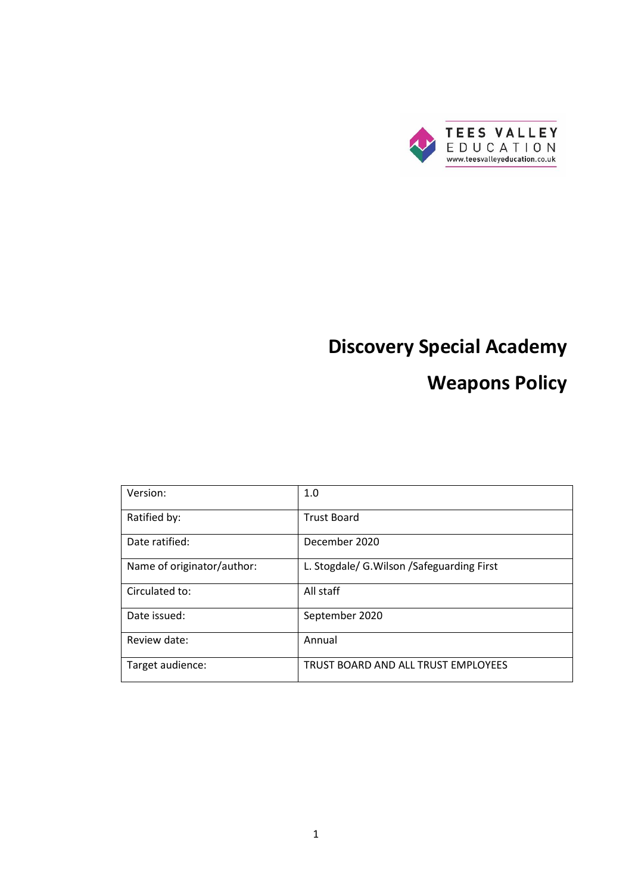

# **Discovery Special Academy**

## **Weapons Policy**

| Version:                   | 1.0                                         |
|----------------------------|---------------------------------------------|
| Ratified by:               | <b>Trust Board</b>                          |
| Date ratified:             | December 2020                               |
| Name of originator/author: | L. Stogdale/ G. Wilson / Safeguarding First |
| Circulated to:             | All staff                                   |
| Date issued:               | September 2020                              |
| Review date:               | Annual                                      |
| Target audience:           | TRUST BOARD AND ALL TRUST EMPLOYEES         |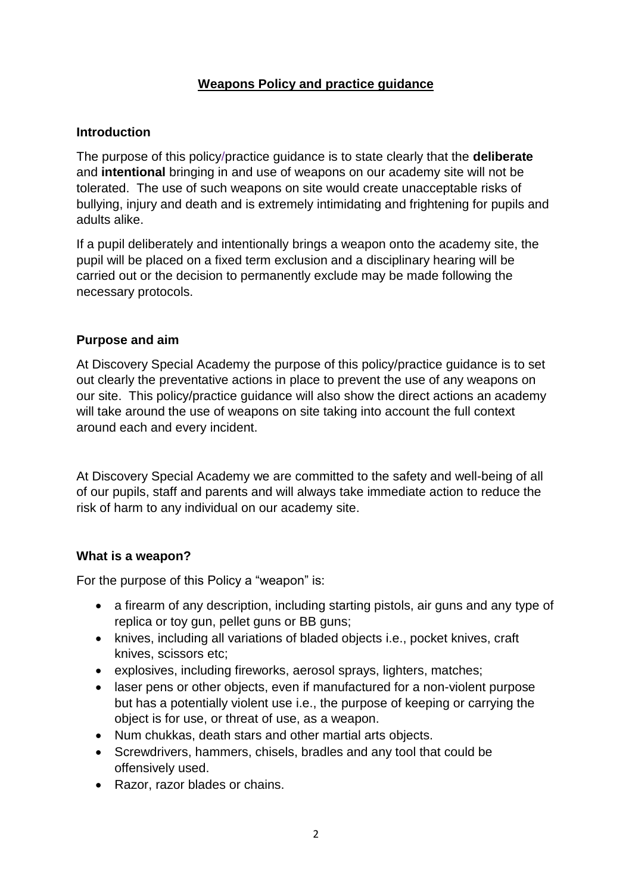## **Weapons Policy and practice guidance**

#### **Introduction**

The purpose of this policy/practice guidance is to state clearly that the **deliberate** and **intentional** bringing in and use of weapons on our academy site will not be tolerated. The use of such weapons on site would create unacceptable risks of bullying, injury and death and is extremely intimidating and frightening for pupils and adults alike.

If a pupil deliberately and intentionally brings a weapon onto the academy site, the pupil will be placed on a fixed term exclusion and a disciplinary hearing will be carried out or the decision to permanently exclude may be made following the necessary protocols.

#### **Purpose and aim**

At Discovery Special Academy the purpose of this policy/practice guidance is to set out clearly the preventative actions in place to prevent the use of any weapons on our site. This policy/practice guidance will also show the direct actions an academy will take around the use of weapons on site taking into account the full context around each and every incident.

At Discovery Special Academy we are committed to the safety and well-being of all of our pupils, staff and parents and will always take immediate action to reduce the risk of harm to any individual on our academy site.

#### **What is a weapon?**

For the purpose of this Policy a "weapon" is:

- a firearm of any description, including starting pistols, air guns and any type of replica or toy gun, pellet guns or BB guns;
- knives, including all variations of bladed objects i.e., pocket knives, craft knives, scissors etc;
- explosives, including fireworks, aerosol sprays, lighters, matches;
- laser pens or other objects, even if manufactured for a non-violent purpose but has a potentially violent use i.e., the purpose of keeping or carrying the object is for use, or threat of use, as a weapon.
- Num chukkas, death stars and other martial arts objects.
- Screwdrivers, hammers, chisels, bradles and any tool that could be offensively used.
- Razor, razor blades or chains.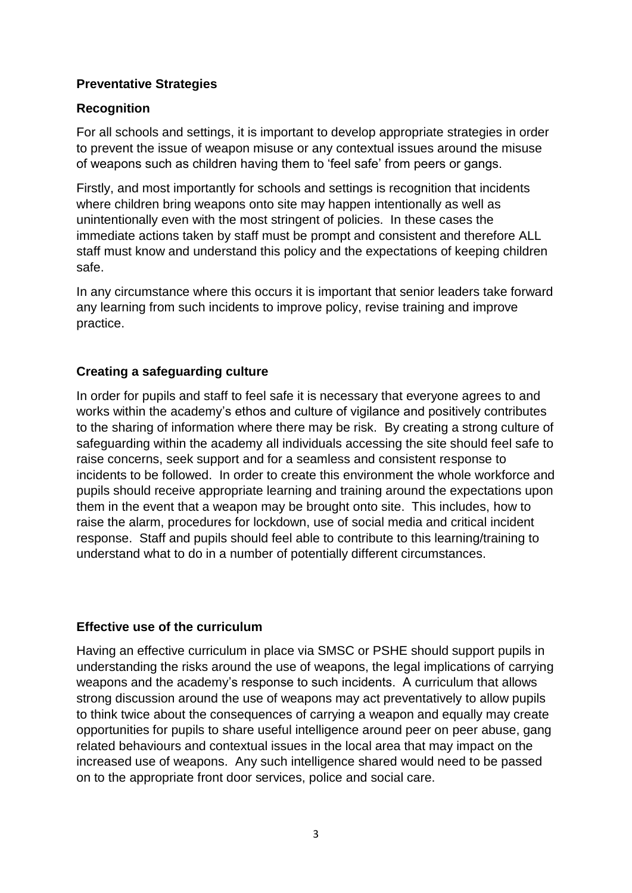## **Preventative Strategies**

## **Recognition**

For all schools and settings, it is important to develop appropriate strategies in order to prevent the issue of weapon misuse or any contextual issues around the misuse of weapons such as children having them to 'feel safe' from peers or gangs.

Firstly, and most importantly for schools and settings is recognition that incidents where children bring weapons onto site may happen intentionally as well as unintentionally even with the most stringent of policies. In these cases the immediate actions taken by staff must be prompt and consistent and therefore ALL staff must know and understand this policy and the expectations of keeping children safe.

In any circumstance where this occurs it is important that senior leaders take forward any learning from such incidents to improve policy, revise training and improve practice.

## **Creating a safeguarding culture**

In order for pupils and staff to feel safe it is necessary that everyone agrees to and works within the academy's ethos and culture of vigilance and positively contributes to the sharing of information where there may be risk. By creating a strong culture of safeguarding within the academy all individuals accessing the site should feel safe to raise concerns, seek support and for a seamless and consistent response to incidents to be followed. In order to create this environment the whole workforce and pupils should receive appropriate learning and training around the expectations upon them in the event that a weapon may be brought onto site. This includes, how to raise the alarm, procedures for lockdown, use of social media and critical incident response. Staff and pupils should feel able to contribute to this learning/training to understand what to do in a number of potentially different circumstances.

## **Effective use of the curriculum**

Having an effective curriculum in place via SMSC or PSHE should support pupils in understanding the risks around the use of weapons, the legal implications of carrying weapons and the academy's response to such incidents. A curriculum that allows strong discussion around the use of weapons may act preventatively to allow pupils to think twice about the consequences of carrying a weapon and equally may create opportunities for pupils to share useful intelligence around peer on peer abuse, gang related behaviours and contextual issues in the local area that may impact on the increased use of weapons. Any such intelligence shared would need to be passed on to the appropriate front door services, police and social care.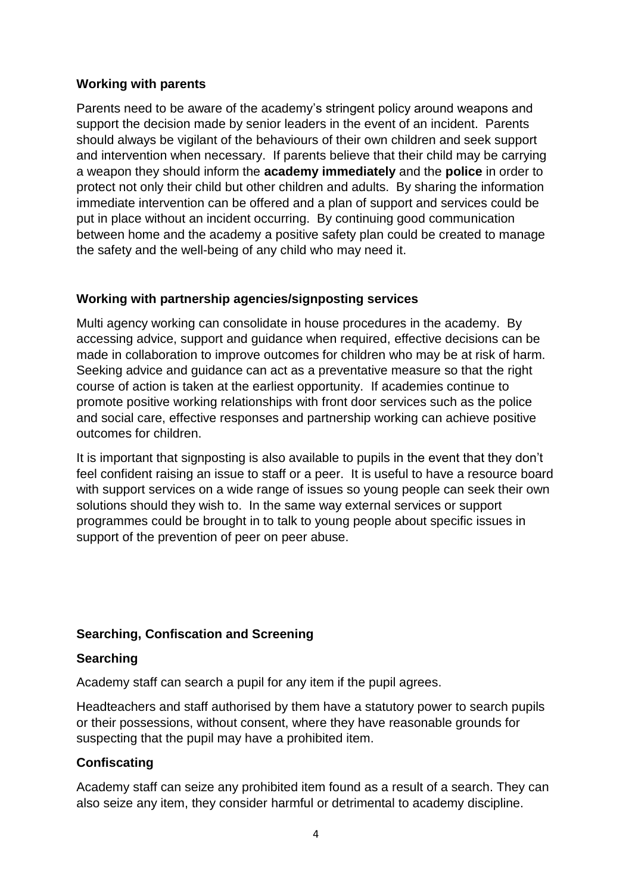## **Working with parents**

Parents need to be aware of the academy's stringent policy around weapons and support the decision made by senior leaders in the event of an incident. Parents should always be vigilant of the behaviours of their own children and seek support and intervention when necessary. If parents believe that their child may be carrying a weapon they should inform the **academy immediately** and the **police** in order to protect not only their child but other children and adults. By sharing the information immediate intervention can be offered and a plan of support and services could be put in place without an incident occurring. By continuing good communication between home and the academy a positive safety plan could be created to manage the safety and the well-being of any child who may need it.

#### **Working with partnership agencies/signposting services**

Multi agency working can consolidate in house procedures in the academy. By accessing advice, support and guidance when required, effective decisions can be made in collaboration to improve outcomes for children who may be at risk of harm. Seeking advice and guidance can act as a preventative measure so that the right course of action is taken at the earliest opportunity. If academies continue to promote positive working relationships with front door services such as the police and social care, effective responses and partnership working can achieve positive outcomes for children.

It is important that signposting is also available to pupils in the event that they don't feel confident raising an issue to staff or a peer. It is useful to have a resource board with support services on a wide range of issues so young people can seek their own solutions should they wish to. In the same way external services or support programmes could be brought in to talk to young people about specific issues in support of the prevention of peer on peer abuse.

#### **Searching, Confiscation and Screening**

#### **Searching**

Academy staff can search a pupil for any item if the pupil agrees.

Headteachers and staff authorised by them have a statutory power to search pupils or their possessions, without consent, where they have reasonable grounds for suspecting that the pupil may have a prohibited item.

#### **Confiscating**

Academy staff can seize any prohibited item found as a result of a search. They can also seize any item, they consider harmful or detrimental to academy discipline.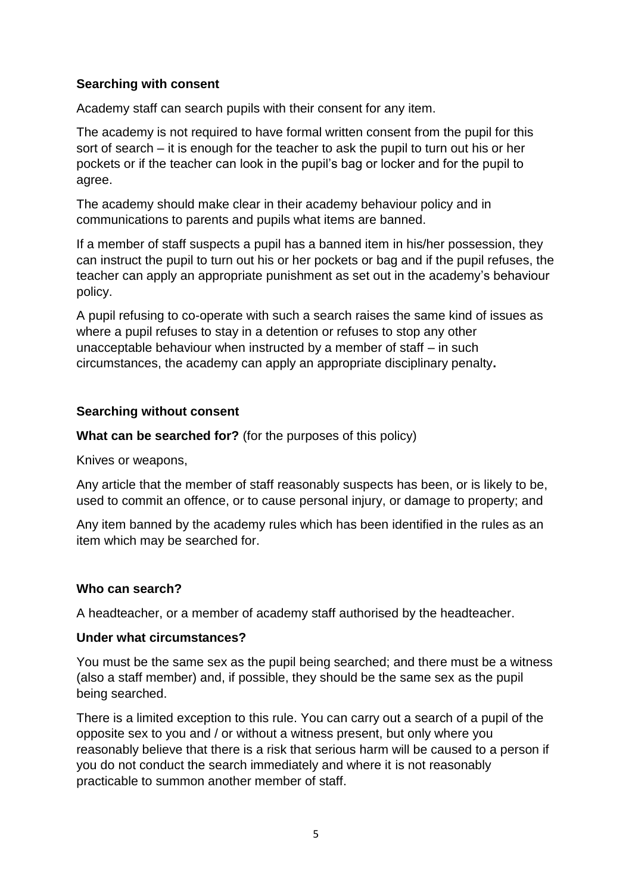## **Searching with consent**

Academy staff can search pupils with their consent for any item.

The academy is not required to have formal written consent from the pupil for this sort of search – it is enough for the teacher to ask the pupil to turn out his or her pockets or if the teacher can look in the pupil's bag or locker and for the pupil to agree.

The academy should make clear in their academy behaviour policy and in communications to parents and pupils what items are banned.

If a member of staff suspects a pupil has a banned item in his/her possession, they can instruct the pupil to turn out his or her pockets or bag and if the pupil refuses, the teacher can apply an appropriate punishment as set out in the academy's behaviour policy.

A pupil refusing to co-operate with such a search raises the same kind of issues as where a pupil refuses to stay in a detention or refuses to stop any other unacceptable behaviour when instructed by a member of staff – in such circumstances, the academy can apply an appropriate disciplinary penalty**.**

## **Searching without consent**

**What can be searched for?** (for the purposes of this policy)

Knives or weapons,

Any article that the member of staff reasonably suspects has been, or is likely to be, used to commit an offence, or to cause personal injury, or damage to property; and

Any item banned by the academy rules which has been identified in the rules as an item which may be searched for.

## **Who can search?**

A headteacher, or a member of academy staff authorised by the headteacher.

## **Under what circumstances?**

You must be the same sex as the pupil being searched; and there must be a witness (also a staff member) and, if possible, they should be the same sex as the pupil being searched.

There is a limited exception to this rule. You can carry out a search of a pupil of the opposite sex to you and / or without a witness present, but only where you reasonably believe that there is a risk that serious harm will be caused to a person if you do not conduct the search immediately and where it is not reasonably practicable to summon another member of staff.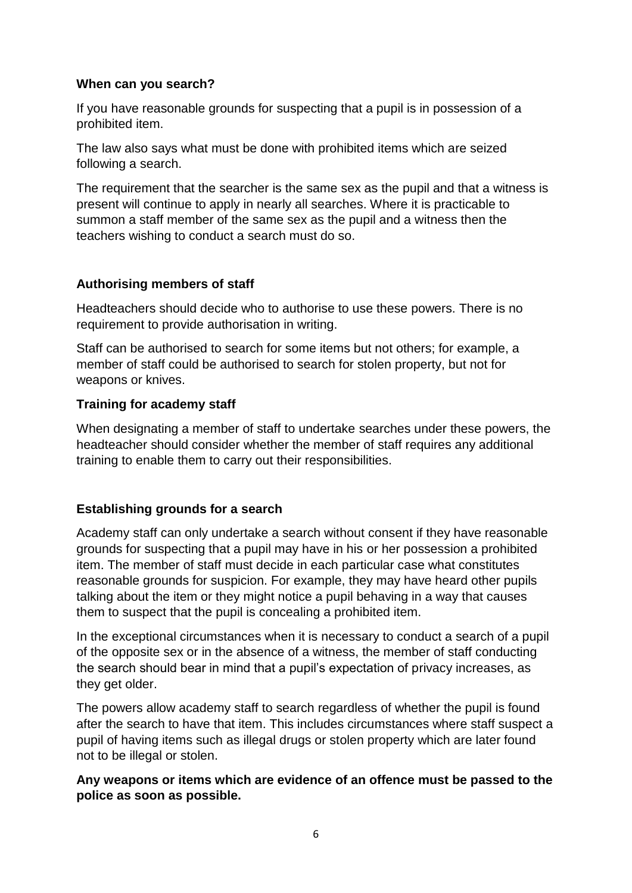#### **When can you search?**

If you have reasonable grounds for suspecting that a pupil is in possession of a prohibited item.

The law also says what must be done with prohibited items which are seized following a search.

The requirement that the searcher is the same sex as the pupil and that a witness is present will continue to apply in nearly all searches. Where it is practicable to summon a staff member of the same sex as the pupil and a witness then the teachers wishing to conduct a search must do so.

#### **Authorising members of staff**

Headteachers should decide who to authorise to use these powers. There is no requirement to provide authorisation in writing.

Staff can be authorised to search for some items but not others; for example, a member of staff could be authorised to search for stolen property, but not for weapons or knives.

#### **Training for academy staff**

When designating a member of staff to undertake searches under these powers, the headteacher should consider whether the member of staff requires any additional training to enable them to carry out their responsibilities.

## **Establishing grounds for a search**

Academy staff can only undertake a search without consent if they have reasonable grounds for suspecting that a pupil may have in his or her possession a prohibited item. The member of staff must decide in each particular case what constitutes reasonable grounds for suspicion. For example, they may have heard other pupils talking about the item or they might notice a pupil behaving in a way that causes them to suspect that the pupil is concealing a prohibited item.

In the exceptional circumstances when it is necessary to conduct a search of a pupil of the opposite sex or in the absence of a witness, the member of staff conducting the search should bear in mind that a pupil's expectation of privacy increases, as they get older.

The powers allow academy staff to search regardless of whether the pupil is found after the search to have that item. This includes circumstances where staff suspect a pupil of having items such as illegal drugs or stolen property which are later found not to be illegal or stolen.

## **Any weapons or items which are evidence of an offence must be passed to the police as soon as possible.**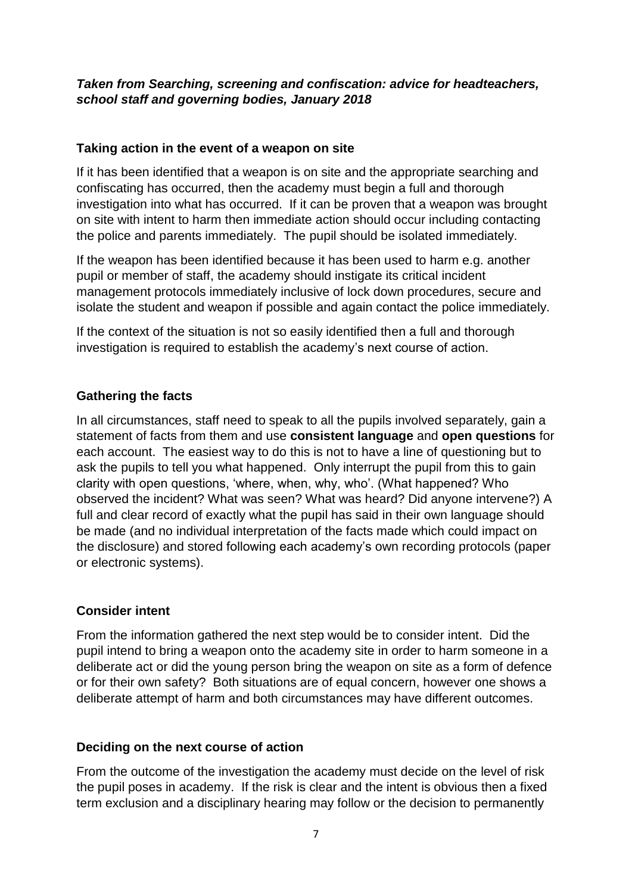## *Taken from Searching, screening and confiscation: advice for headteachers, school staff and governing bodies, January 2018*

#### **Taking action in the event of a weapon on site**

If it has been identified that a weapon is on site and the appropriate searching and confiscating has occurred, then the academy must begin a full and thorough investigation into what has occurred. If it can be proven that a weapon was brought on site with intent to harm then immediate action should occur including contacting the police and parents immediately. The pupil should be isolated immediately.

If the weapon has been identified because it has been used to harm e.g. another pupil or member of staff, the academy should instigate its critical incident management protocols immediately inclusive of lock down procedures, secure and isolate the student and weapon if possible and again contact the police immediately.

If the context of the situation is not so easily identified then a full and thorough investigation is required to establish the academy's next course of action.

#### **Gathering the facts**

In all circumstances, staff need to speak to all the pupils involved separately, gain a statement of facts from them and use **consistent language** and **open questions** for each account. The easiest way to do this is not to have a line of questioning but to ask the pupils to tell you what happened. Only interrupt the pupil from this to gain clarity with open questions, 'where, when, why, who'. (What happened? Who observed the incident? What was seen? What was heard? Did anyone intervene?) A full and clear record of exactly what the pupil has said in their own language should be made (and no individual interpretation of the facts made which could impact on the disclosure) and stored following each academy's own recording protocols (paper or electronic systems).

## **Consider intent**

From the information gathered the next step would be to consider intent. Did the pupil intend to bring a weapon onto the academy site in order to harm someone in a deliberate act or did the young person bring the weapon on site as a form of defence or for their own safety? Both situations are of equal concern, however one shows a deliberate attempt of harm and both circumstances may have different outcomes.

## **Deciding on the next course of action**

From the outcome of the investigation the academy must decide on the level of risk the pupil poses in academy. If the risk is clear and the intent is obvious then a fixed term exclusion and a disciplinary hearing may follow or the decision to permanently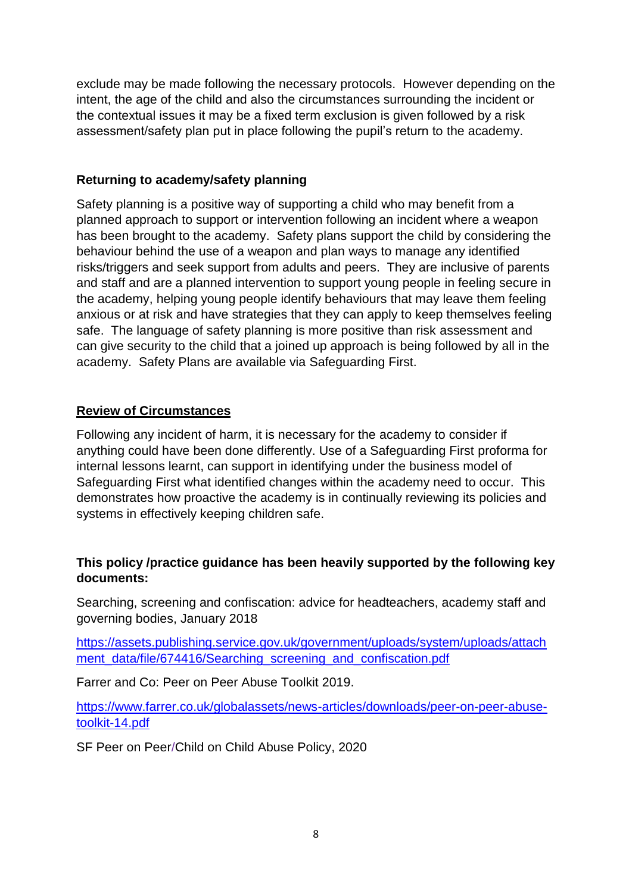exclude may be made following the necessary protocols. However depending on the intent, the age of the child and also the circumstances surrounding the incident or the contextual issues it may be a fixed term exclusion is given followed by a risk assessment/safety plan put in place following the pupil's return to the academy.

## **Returning to academy/safety planning**

Safety planning is a positive way of supporting a child who may benefit from a planned approach to support or intervention following an incident where a weapon has been brought to the academy. Safety plans support the child by considering the behaviour behind the use of a weapon and plan ways to manage any identified risks/triggers and seek support from adults and peers. They are inclusive of parents and staff and are a planned intervention to support young people in feeling secure in the academy, helping young people identify behaviours that may leave them feeling anxious or at risk and have strategies that they can apply to keep themselves feeling safe. The language of safety planning is more positive than risk assessment and can give security to the child that a joined up approach is being followed by all in the academy. Safety Plans are available via Safeguarding First.

## **Review of Circumstances**

Following any incident of harm, it is necessary for the academy to consider if anything could have been done differently. Use of a Safeguarding First proforma for internal lessons learnt, can support in identifying under the business model of Safeguarding First what identified changes within the academy need to occur. This demonstrates how proactive the academy is in continually reviewing its policies and systems in effectively keeping children safe.

## **This policy /practice guidance has been heavily supported by the following key documents:**

Searching, screening and confiscation: advice for headteachers, academy staff and governing bodies, January 2018

[https://assets.publishing.service.gov.uk/government/uploads/system/uploads/attach](https://assets.publishing.service.gov.uk/government/uploads/system/uploads/attachment_data/file/674416/Searching_screening_and_confiscation.pdf) [ment\\_data/file/674416/Searching\\_screening\\_and\\_confiscation.pdf](https://assets.publishing.service.gov.uk/government/uploads/system/uploads/attachment_data/file/674416/Searching_screening_and_confiscation.pdf)

Farrer and Co: Peer on Peer Abuse Toolkit 2019.

[https://www.farrer.co.uk/globalassets/news-articles/downloads/peer-on-peer-abuse](https://www.farrer.co.uk/globalassets/news-articles/downloads/peer-on-peer-abuse-toolkit-14.pdf)[toolkit-14.pdf](https://www.farrer.co.uk/globalassets/news-articles/downloads/peer-on-peer-abuse-toolkit-14.pdf)

SF Peer on Peer/Child on Child Abuse Policy, 2020